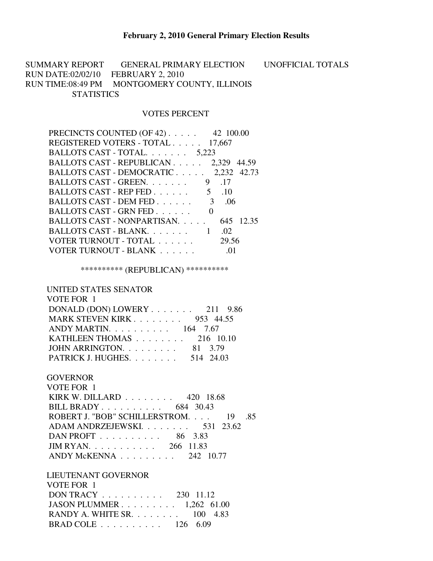SUMMARY REPORT GENERAL PRIMARY ELECTION UNOFFICIAL TOTALS RUN DATE:02/02/10 FEBRUARY 2, 2010 RUN TIME:08:49 PM MONTGOMERY COUNTY, ILLINOIS **STATISTICS** 

## VOTES PERCENT

| PRECINCTS COUNTED (OF 42) 42 100.00   |           |
|---------------------------------------|-----------|
| REGISTERED VOTERS - TOTAL 17,667      |           |
| BALLOTS CAST - TOTAL. 5,223           |           |
| BALLOTS CAST - REPUBLICAN 2,329 44.59 |           |
| BALLOTS CAST - DEMOCRATIC 2,232 42.73 |           |
| BALLOTS CAST - GREEN.                 | 9 .17     |
| BALLOTS CAST - REP FED. 5 .10         |           |
| BALLOTS CAST - DEM FED 3 .06          |           |
| BALLOTS CAST - GRN FED                |           |
| BALLOTS CAST - NONPARTISAN.           | 645 12.35 |
| BALLOTS CAST - BLANK 1                | .02       |
| VOTER TURNOUT - TOTAL                 | 29.56     |
| VOTER TURNOUT - BLANK                 |           |
|                                       |           |

\*\*\*\*\*\*\*\*\*\* (REPUBLICAN) \*\*\*\*\*\*\*\*\*\*

## UNITED STATES SENATOR

| VOTE FOR 1                                       |           |
|--------------------------------------------------|-----------|
| DONALD (DON) LOWERY $\ldots$ 211 9.86            |           |
| <b>MARK STEVEN KIRK 953 44.55</b>                |           |
| ANDY MARTIN. $\ldots$ 164 7.67                   |           |
| KATHLEEN THOMAS $\ldots \ldots \ldots$ 216 10.10 |           |
| JOHN ARRINGTON. $\ldots$ 81 3.79                 |           |
| PATRICK J. HUGHES.                               | 514 24.03 |

## **GOVERNOR**

| VOTE FOR 1                                          |
|-----------------------------------------------------|
| KIRK W. DILLARD $\ldots \ldots \ldots$ 420 18.68    |
| BILL BRADY 684 30.43                                |
| ROBERT J. "BOB" SCHILLERSTROM. 19 .85               |
| ADAM ANDRZEJEWSKI. 531 23.62                        |
| DAN PROFT $\ldots$ ,  86 3.83                       |
| $JIM RYAN.$ 266 11.83                               |
| $ANDY$ McKENNA $\ldots$ $\ldots$ $\ldots$ 242 10.77 |
|                                                     |

## LIEUTENANT GOVERNOR

| VOTE FOR 1                                             |  |  |
|--------------------------------------------------------|--|--|
| DON TRACY $\ldots \ldots \ldots \ldots$ 230 11.12      |  |  |
| JASON PLUMMER $1,262$ 61.00                            |  |  |
| RANDY A. WHITE SR. $\ldots$ $\ldots$ $\ldots$ 100 4.83 |  |  |
| BRAD COLE $\ldots \ldots \ldots \ldots 126$ 6.09       |  |  |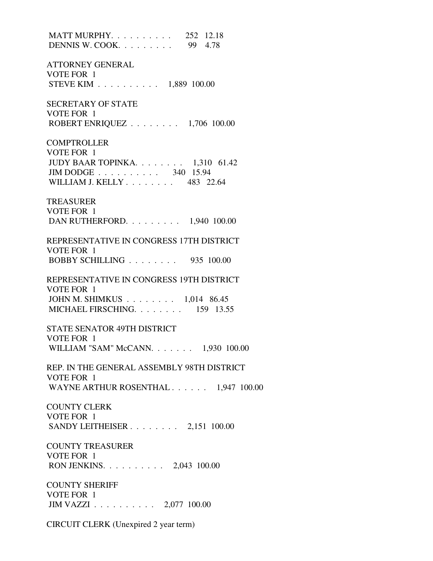MATT MURPHY. . . . . . . . . . 252 12.18 DENNIS W. COOK. . . . . . . . . 99 4.78 ATTORNEY GENERAL VOTE FOR 1 STEVE KIM . . . . . . . . . . 1,889 100.00 SECRETARY OF STATE VOTE FOR 1 ROBERT ENRIQUEZ . . . . . . . . 1,706 100.00 **COMPTROLLER**  VOTE FOR 1 JUDY BAAR TOPINKA. . . . . . . . 1,310 61.42 JIM DODGE . . . . . . . . . . 340 15.94 WILLIAM J. KELLY . . . . . . . . 483 22.64 TREASURER VOTE FOR 1 DAN RUTHERFORD. . . . . . . . . 1,940 100.00 REPRESENTATIVE IN CONGRESS 17TH DISTRICT VOTE FOR 1 BOBBY SCHILLING . . . . . . . . 935 100.00 REPRESENTATIVE IN CONGRESS 19TH DISTRICT VOTE FOR 1 JOHN M. SHIMKUS . . . . . . . . 1,014 86.45 MICHAEL FIRSCHING. . . . . . . . 159 13.55 STATE SENATOR 49TH DISTRICT VOTE FOR 1 WILLIAM "SAM" McCANN. . . . . . . 1,930 100.00 REP. IN THE GENERAL ASSEMBLY 98TH DISTRICT VOTE FOR 1 WAYNE ARTHUR ROSENTHAL . . . . . . 1.947 100.00 COUNTY CLERK VOTE FOR 1 SANDY LEITHEISER . . . . . . . . 2,151 100.00 COUNTY TREASURER VOTE FOR 1 RON JENKINS. . . . . . . . . . 2,043 100.00 COUNTY SHERIFF VOTE FOR 1 JIM VAZZI . . . . . . . . . . 2,077 100.00

CIRCUIT CLERK (Unexpired 2 year term)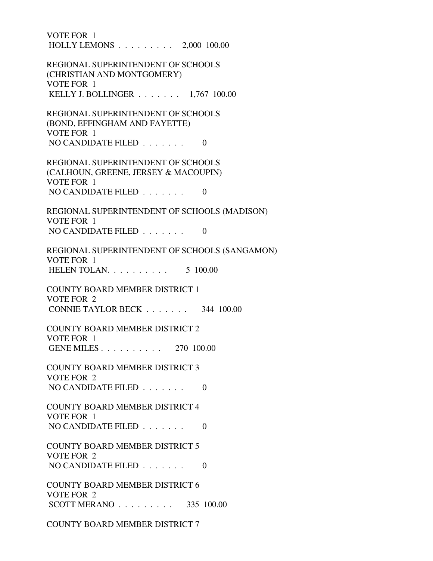VOTE FOR 1 HOLLY LEMONS . . . . . . . . . 2,000 100.00 REGIONAL SUPERINTENDENT OF SCHOOLS (CHRISTIAN AND MONTGOMERY) VOTE FOR 1 KELLY J. BOLLINGER . . . . . . . 1,767 100.00 REGIONAL SUPERINTENDENT OF SCHOOLS (BOND, EFFINGHAM AND FAYETTE) VOTE FOR 1 NO CANDIDATE FILED  $\ldots \ldots$  0 REGIONAL SUPERINTENDENT OF SCHOOLS (CALHOUN, GREENE, JERSEY & MACOUPIN) VOTE FOR 1 NO CANDIDATE FILED  $\ldots$ , . . . . . 0 REGIONAL SUPERINTENDENT OF SCHOOLS (MADISON) VOTE FOR 1 NO CANDIDATE FILED  $\ldots \ldots$  0 REGIONAL SUPERINTENDENT OF SCHOOLS (SANGAMON) VOTE FOR 1 HELEN TOLAN. . . . . . . . . . 5 100.00 COUNTY BOARD MEMBER DISTRICT 1 VOTE FOR 2 CONNIE TAYLOR BECK . . . . . . . 344 100.00 COUNTY BOARD MEMBER DISTRICT 2 VOTE FOR 1 GENE MILES . . . . . . . . . . 270 100.00 COUNTY BOARD MEMBER DISTRICT 3 VOTE FOR 2 NO CANDIDATE FILED  $\ldots$ , . . . . . 0 COUNTY BOARD MEMBER DISTRICT 4 VOTE FOR 1 NO CANDIDATE FILED  $\ldots \ldots$  0 COUNTY BOARD MEMBER DISTRICT 5 VOTE FOR 2 NO CANDIDATE FILED  $\ldots \ldots \ldots$  COUNTY BOARD MEMBER DISTRICT 6 VOTE FOR 2 SCOTT MERANO . . . . . . . . . 335 100.00

COUNTY BOARD MEMBER DISTRICT 7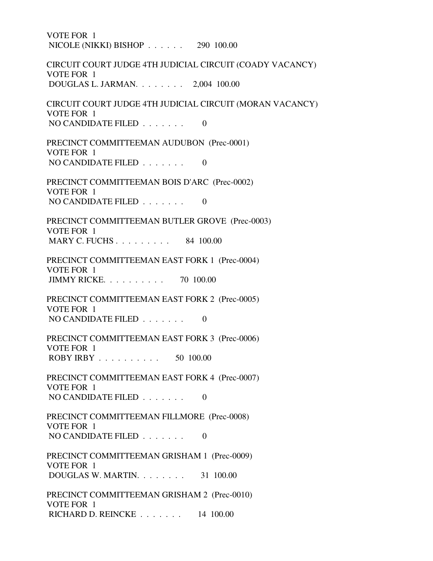VOTE FOR 1 NICOLE (NIKKI) BISHOP . . . . . . 290 100.00 CIRCUIT COURT JUDGE 4TH JUDICIAL CIRCUIT (COADY VACANCY) VOTE FOR 1 DOUGLAS L. JARMAN. . . . . . . . 2,004 100.00 CIRCUIT COURT JUDGE 4TH JUDICIAL CIRCUIT (MORAN VACANCY) VOTE FOR 1 NO CANDIDATE FILED  $\ldots \ldots$  0 PRECINCT COMMITTEEMAN AUDUBON (Prec-0001) VOTE FOR 1 NO CANDIDATE FILED  $\ldots \ldots$  0 PRECINCT COMMITTEEMAN BOIS D'ARC (Prec-0002) VOTE FOR 1 NO CANDIDATE FILED  $\ldots \ldots$  0 PRECINCT COMMITTEEMAN BUTLER GROVE (Prec-0003) VOTE FOR 1 MARY C. FUCHS . . . . . . . . . 84 100.00 PRECINCT COMMITTEEMAN EAST FORK 1 (Prec-0004) VOTE FOR 1 JIMMY RICKE. . . . . . . . . . 70 100.00 PRECINCT COMMITTEEMAN EAST FORK 2 (Prec-0005) VOTE FOR 1 NO CANDIDATE FILED  $\ldots \ldots \ldots$  0 PRECINCT COMMITTEEMAN EAST FORK 3 (Prec-0006) VOTE FOR 1 ROBY IRBY . . . . . . . . . . 50 100.00 PRECINCT COMMITTEEMAN EAST FORK 4 (Prec-0007) VOTE FOR 1 NO CANDIDATE FILED . . . . . . . 0 PRECINCT COMMITTEEMAN FILLMORE (Prec-0008) VOTE FOR 1 NO CANDIDATE FILED  $\ldots$ , . . . . 0 PRECINCT COMMITTEEMAN GRISHAM 1 (Prec-0009) VOTE FOR 1 DOUGLAS W. MARTIN. . . . . . . . 31 100.00 PRECINCT COMMITTEEMAN GRISHAM 2 (Prec-0010) VOTE FOR 1 RICHARD D. REINCKE . . . . . . . 14 100.00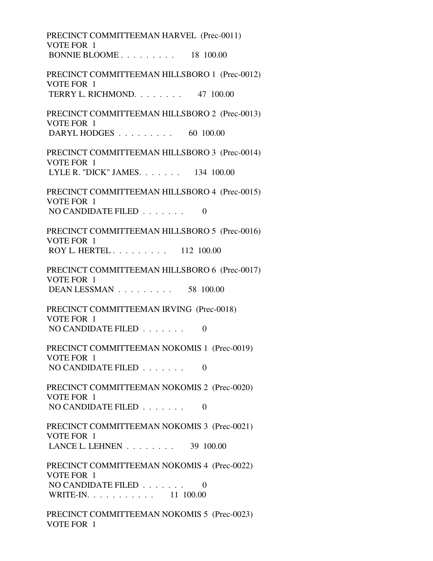PRECINCT COMMITTEEMAN HARVEL (Prec-0011) VOTE FOR 1 BONNIE BLOOME . . . . . . . . . 18 100.00 PRECINCT COMMITTEEMAN HILLSBORO 1 (Prec-0012) VOTE FOR 1 TERRY L. RICHMOND. . . . . . . . 47 100.00 PRECINCT COMMITTEEMAN HILLSBORO 2 (Prec-0013) VOTE FOR 1 DARYL HODGES . . . . . . . . . 60 100.00 PRECINCT COMMITTEEMAN HILLSBORO 3 (Prec-0014) VOTE FOR 1 LYLE R. "DICK" JAMES. . . . . . . 134 100.00 PRECINCT COMMITTEEMAN HILLSBORO 4 (Prec-0015) VOTE FOR 1 NO CANDIDATE FILED  $\ldots \ldots$  0 PRECINCT COMMITTEEMAN HILLSBORO 5 (Prec-0016) VOTE FOR 1 ROY L. HERTEL . . . . . . . . . 112 100.00 PRECINCT COMMITTEEMAN HILLSBORO 6 (Prec-0017) VOTE FOR 1 DEAN LESSMAN . . . . . . . . . 58 100.00 PRECINCT COMMITTEEMAN IRVING (Prec-0018) VOTE FOR 1 NO CANDIDATE FILED  $\ldots \ldots$  0 PRECINCT COMMITTEEMAN NOKOMIS 1 (Prec-0019) VOTE FOR 1 NO CANDIDATE FILED  $\ldots \ldots \ldots$  PRECINCT COMMITTEEMAN NOKOMIS 2 (Prec-0020) VOTE FOR 1 NO CANDIDATE FILED  $\ldots \ldots$  0 PRECINCT COMMITTEEMAN NOKOMIS 3 (Prec-0021) VOTE FOR 1 LANCE L. LEHNEN . . . . . . . . 39 100.00 PRECINCT COMMITTEEMAN NOKOMIS 4 (Prec-0022) VOTE FOR 1 NO CANDIDATE FILED . . . . . . . 0 WRITE-IN. . . . . . . . . . . . 11 100.00 PRECINCT COMMITTEEMAN NOKOMIS 5 (Prec-0023) VOTE FOR 1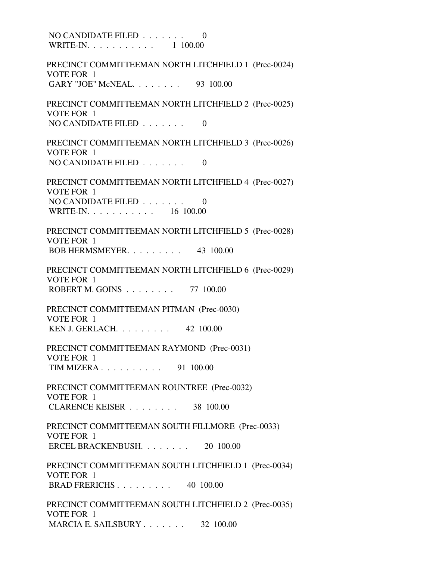NO CANDIDATE FILED . . . . . . . 0 WRITE-IN. . . . . . . . . . . 1 100.00 PRECINCT COMMITTEEMAN NORTH LITCHFIELD 1 (Prec-0024) VOTE FOR 1 GARY "JOE" McNEAL. . . . . . . . 93 100.00 PRECINCT COMMITTEEMAN NORTH LITCHFIELD 2 (Prec-0025) VOTE FOR 1 NO CANDIDATE FILED  $\ldots \ldots$  0 PRECINCT COMMITTEEMAN NORTH LITCHFIELD 3 (Prec-0026) VOTE FOR 1 NO CANDIDATE FILED  $\ldots \ldots$  0 PRECINCT COMMITTEEMAN NORTH LITCHFIELD 4 (Prec-0027) VOTE FOR 1 NO CANDIDATE FILED . . . . . . . 0 WRITE-IN. . . . . . . . . . . 16 100.00 PRECINCT COMMITTEEMAN NORTH LITCHFIELD 5 (Prec-0028) VOTE FOR 1 BOB HERMSMEYER. . . . . . . . . 43 100.00 PRECINCT COMMITTEEMAN NORTH LITCHFIELD 6 (Prec-0029) VOTE FOR 1 ROBERT M. GOINS . . . . . . . . 77 100.00 PRECINCT COMMITTEEMAN PITMAN (Prec-0030) VOTE FOR 1 KEN J. GERLACH. . . . . . . . . 42 100.00 PRECINCT COMMITTEEMAN RAYMOND (Prec-0031) VOTE FOR 1 TIM MIZERA . . . . . . . . . . 91 100.00 PRECINCT COMMITTEEMAN ROUNTREE (Prec-0032) VOTE FOR 1 CLARENCE KEISER . . . . . . . . 38 100.00 PRECINCT COMMITTEEMAN SOUTH FILLMORE (Prec-0033) VOTE FOR 1 ERCEL BRACKENBUSH. . . . . . . . 20 100.00 PRECINCT COMMITTEEMAN SOUTH LITCHFIELD 1 (Prec-0034) VOTE FOR 1 BRAD FRERICHS . . . . . . . . . 40 100.00 PRECINCT COMMITTEEMAN SOUTH LITCHFIELD 2 (Prec-0035) VOTE FOR 1 MARCIA E. SAILSBURY . . . . . . . . 32 100.00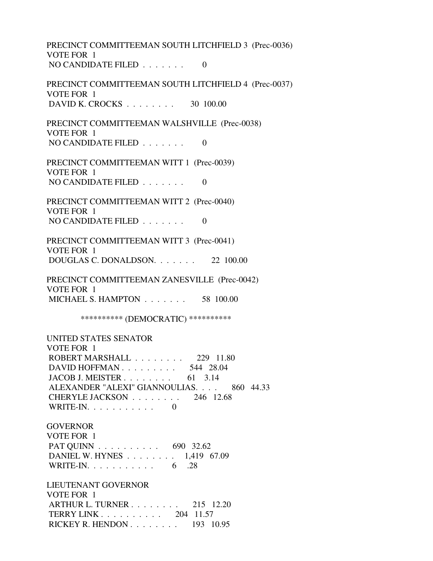PRECINCT COMMITTEEMAN SOUTH LITCHFIELD 3 (Prec-0036) VOTE FOR 1 NO CANDIDATE FILED  $\ldots \ldots$  0 PRECINCT COMMITTEEMAN SOUTH LITCHFIELD 4 (Prec-0037) VOTE FOR 1 DAVID K. CROCKS . . . . . . . . 30 100.00 PRECINCT COMMITTEEMAN WALSHVILLE (Prec-0038) VOTE FOR 1 NO CANDIDATE FILED  $\ldots \ldots$  0 PRECINCT COMMITTEEMAN WITT 1 (Prec-0039) VOTE FOR 1 NO CANDIDATE FILED  $\ldots \ldots$  0 PRECINCT COMMITTEEMAN WITT 2 (Prec-0040) VOTE FOR 1 NO CANDIDATE FILED  $\ldots \ldots \ldots$  0 PRECINCT COMMITTEEMAN WITT 3 (Prec-0041) VOTE FOR 1 DOUGLAS C. DONALDSON. . . . . . . 22 100.00 PRECINCT COMMITTEEMAN ZANESVILLE (Prec-0042) VOTE FOR 1 MICHAEL S. HAMPTON . . . . . . . 58 100.00 \*\*\*\*\*\*\*\*\*\* (DEMOCRATIC) \*\*\*\*\*\*\*\*\*\* UNITED STATES SENATOR VOTE FOR 1 ROBERT MARSHALL . . . . . . . . 229 11.80 DAVID HOFFMAN . . . . . . . . . . 544 28.04 JACOB J. MEISTER . . . . . . . . 61 3.14 ALEXANDER "ALEXI" GIANNOULIAS. . . . 860 44.33 CHERYLE JACKSON . . . . . . . . 246 12.68 WRITE-IN.  $\ldots$  . . . . . . . . 0 **GOVERNOR**  VOTE FOR 1 PAT QUINN . . . . . . . . . . 690 32.62 DANIEL W. HYNES . . . . . . . . 1,419 67.09 WRITE-IN. . . . . . . . . . . . 6 .28 LIEUTENANT GOVERNOR VOTE FOR 1 ARTHUR L. TURNER . . . . . . . . 215 12.20 TERRY LINK . . . . . . . . . . 204 11.57 RICKEY R. HENDON . . . . . . . . 193 10.95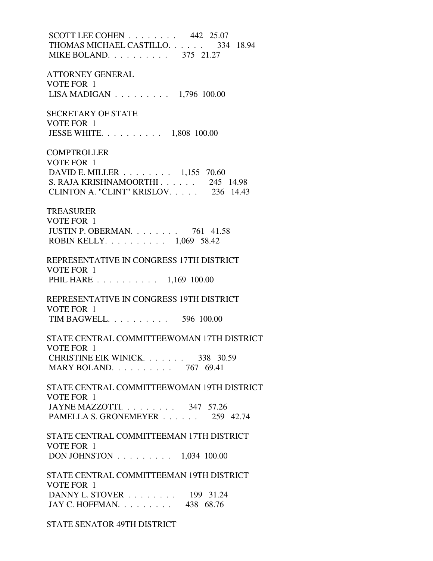SCOTT LEE COHEN . . . . . . . . 442 25.07 THOMAS MICHAEL CASTILLO. . . . . . 334 18.94 MIKE BOLAND. . . . . . . . . . 375 21.27 ATTORNEY GENERAL VOTE FOR 1 LISA MADIGAN . . . . . . . . . 1,796 100.00 SECRETARY OF STATE VOTE FOR 1 JESSE WHITE. . . . . . . . . . 1,808 100.00 **COMPTROLLER**  VOTE FOR 1 DAVID E. MILLER . . . . . . . . 1,155 70.60 S. RAJA KRISHNAMOORTHI . . . . . . 245 14.98 CLINTON A. "CLINT" KRISLOV. . . . . 236 14.43 TREASURER VOTE FOR 1 JUSTIN P. OBERMAN. . . . . . . . 761 41.58 ROBIN KELLY. . . . . . . . . . 1,069 58.42 REPRESENTATIVE IN CONGRESS 17TH DISTRICT VOTE FOR 1 PHIL HARE . . . . . . . . . . 1,169 100.00 REPRESENTATIVE IN CONGRESS 19TH DISTRICT VOTE FOR 1 TIM BAGWELL. . . . . . . . . . 596 100.00 STATE CENTRAL COMMITTEEWOMAN 17TH DISTRICT VOTE FOR 1 CHRISTINE EIK WINICK. . . . . . . 338 30.59 MARY BOLAND. . . . . . . . . . 767 69.41 STATE CENTRAL COMMITTEEWOMAN 19TH DISTRICT VOTE FOR 1 JAYNE MAZZOTTI. . . . . . . . . 347 57.26 PAMELLA S. GRONEMEYER . . . . . . 259 42.74 STATE CENTRAL COMMITTEEMAN 17TH DISTRICT VOTE FOR 1 DON JOHNSTON . . . . . . . . . 1,034 100.00 STATE CENTRAL COMMITTEEMAN 19TH DISTRICT VOTE FOR 1 DANNY L. STOVER . . . . . . . . 199 31.24 JAY C. HOFFMAN. . . . . . . . . 438 68.76

STATE SENATOR 49TH DISTRICT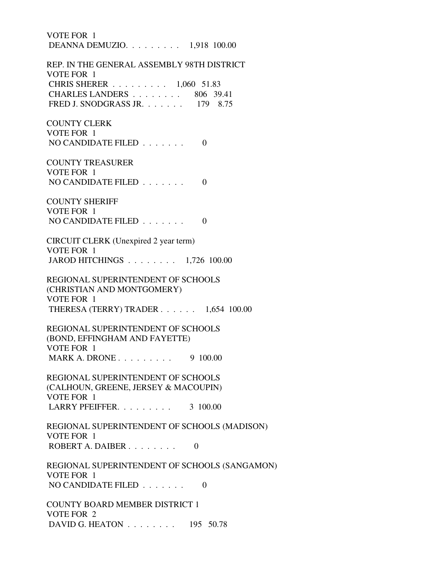VOTE FOR 1 DEANNA DEMUZIO. . . . . . . . . 1,918 100.00 REP. IN THE GENERAL ASSEMBLY 98TH DISTRICT VOTE FOR 1 CHRIS SHERER . . . . . . . . . 1,060 51.83 CHARLES LANDERS . . . . . . . . 806 39.41 FRED J. SNODGRASS JR. . . . . . . 179 8.75 COUNTY CLERK VOTE FOR 1 NO CANDIDATE FILED  $\ldots \ldots$  0 COUNTY TREASURER VOTE FOR 1 NO CANDIDATE FILED  $\ldots \ldots \ldots$  0 COUNTY SHERIFF VOTE FOR 1 NO CANDIDATE FILED  $\ldots \ldots \ldots$  0 CIRCUIT CLERK (Unexpired 2 year term) VOTE FOR 1 JAROD HITCHINGS . . . . . . . . 1,726 100.00 REGIONAL SUPERINTENDENT OF SCHOOLS (CHRISTIAN AND MONTGOMERY) VOTE FOR 1 THERESA (TERRY) TRADER . . . . . . 1,654 100.00 REGIONAL SUPERINTENDENT OF SCHOOLS (BOND, EFFINGHAM AND FAYETTE) VOTE FOR 1 MARK A. DRONE . . . . . . . . . 9 100.00 REGIONAL SUPERINTENDENT OF SCHOOLS (CALHOUN, GREENE, JERSEY & MACOUPIN) VOTE FOR 1 LARRY PFEIFFER. . . . . . . . . 3 100.00 REGIONAL SUPERINTENDENT OF SCHOOLS (MADISON) VOTE FOR 1 ROBERT A. DAIBER  $\ldots$  . . . . . . 0 REGIONAL SUPERINTENDENT OF SCHOOLS (SANGAMON) VOTE FOR 1 NO CANDIDATE FILED  $\ldots$  . . . . . 0 COUNTY BOARD MEMBER DISTRICT 1 VOTE FOR 2 DAVID G. HEATON . . . . . . . . 195 50.78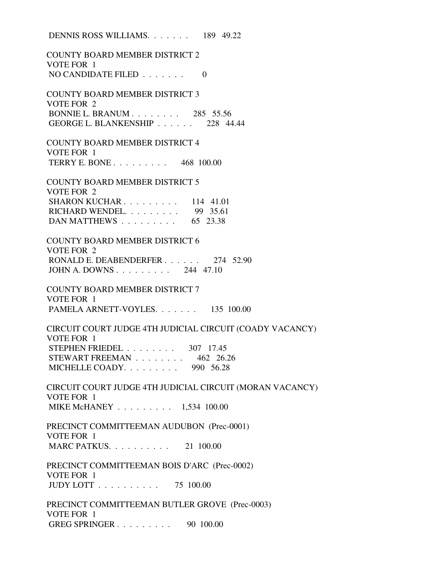|                                    | DENNIS ROSS WILLIAMS $189$ 49.22                         |
|------------------------------------|----------------------------------------------------------|
| VOTE FOR 1                         | <b>COUNTY BOARD MEMBER DISTRICT 2</b>                    |
| NO CANDIDATE FILED $\ldots \ldots$ | $\Omega$                                                 |
| VOTE FOR 2                         | <b>COUNTY BOARD MEMBER DISTRICT 3</b>                    |
|                                    | BONNIE L. BRANUM 285 55.56                               |
|                                    | GEORGE L. BLANKENSHIP 228 44.44                          |
|                                    | <b>COUNTY BOARD MEMBER DISTRICT 4</b>                    |
| VOTE FOR 1                         |                                                          |
|                                    | TERRY E. BONE 468 100.00                                 |
| VOTE FOR 2                         | <b>COUNTY BOARD MEMBER DISTRICT 5</b>                    |
|                                    | SHARON KUCHAR. $\ldots$ . 114 41.01                      |
|                                    | RICHARD WENDEL. 99 35.61                                 |
|                                    | DAN MATTHEWS $\ldots \ldots \ldots$ 65 23.38             |
|                                    |                                                          |
|                                    | <b>COUNTY BOARD MEMBER DISTRICT 6</b>                    |
| VOTE FOR 2                         |                                                          |
|                                    | RONALD E. DEABENDERFER 274 52.90                         |
|                                    | JOHN A. DOWNS 244 47.10                                  |
|                                    | <b>COUNTY BOARD MEMBER DISTRICT 7</b>                    |
| VOTE FOR 1                         |                                                          |
|                                    | PAMELA ARNETT-VOYLES. 135 100.00                         |
| VOTE FOR 1                         | CIRCUIT COURT JUDGE 4TH JUDICIAL CIRCUIT (COADY VACANCY) |
| <b>STEPHEN FRIEDEL</b>             | 307 17.45                                                |
|                                    | STEWART FREEMAN 462 26.26                                |
|                                    | MICHELLE COADY. $\ldots \ldots \ldots$ 990 56.28         |
|                                    | CIRCUIT COURT JUDGE 4TH JUDICIAL CIRCUIT (MORAN VACANCY) |
| VOTE FOR 1                         |                                                          |
|                                    | MIKE McHANEY 1,534 100.00                                |
|                                    | PRECINCT COMMITTEEMAN AUDUBON (Prec-0001)                |
| VOTE FOR 1                         |                                                          |
|                                    | MARC PATKUS. 21 100.00                                   |
|                                    | PRECINCT COMMITTEEMAN BOIS D'ARC (Prec-0002)             |
| VOTE FOR 1                         |                                                          |
|                                    | $JUDY$ LOTT $\ldots \ldots \ldots \ldots$ 75 100.00      |
|                                    | PRECINCT COMMITTEEMAN BUTLER GROVE (Prec-0003)           |
| VOTE FOR 1                         |                                                          |
|                                    | GREG SPRINGER 90 100.00                                  |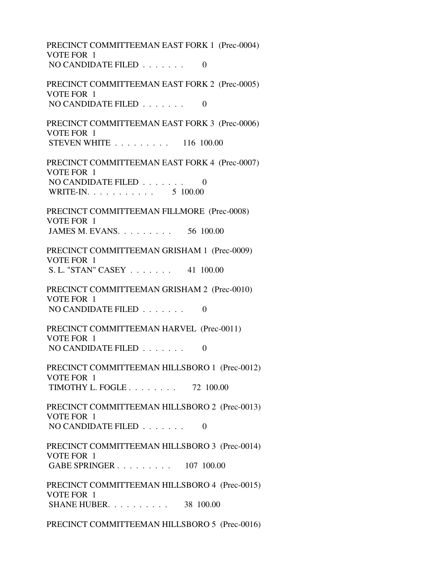PRECINCT COMMITTEEMAN EAST FORK 1 (Prec-0004) VOTE FOR 1 NO CANDIDATE FILED  $\ldots \ldots$  0 PRECINCT COMMITTEEMAN EAST FORK 2 (Prec-0005) VOTE FOR 1 NO CANDIDATE FILED . . . . . . . 0 PRECINCT COMMITTEEMAN EAST FORK 3 (Prec-0006) VOTE FOR 1 STEVEN WHITE . . . . . . . . . 116 100.00 PRECINCT COMMITTEEMAN EAST FORK 4 (Prec-0007) VOTE FOR 1 NO CANDIDATE FILED . . . . . . . 0 WRITE-IN. . . . . . . . . . . . 5 100.00 PRECINCT COMMITTEEMAN FILLMORE (Prec-0008) VOTE FOR 1 JAMES M. EVANS. . . . . . . . . 56 100.00 PRECINCT COMMITTEEMAN GRISHAM 1 (Prec-0009) VOTE FOR 1 S. L. "STAN" CASEY . . . . . . . 41 100.00 PRECINCT COMMITTEEMAN GRISHAM 2 (Prec-0010) VOTE FOR 1 NO CANDIDATE FILED  $\ldots \ldots$  0 PRECINCT COMMITTEEMAN HARVEL (Prec-0011) VOTE FOR 1 NO CANDIDATE FILED  $\ldots \ldots$  0 PRECINCT COMMITTEEMAN HILLSBORO 1 (Prec-0012) VOTE FOR 1 TIMOTHY L. FOGLE . . . . . . . . 72 100.00 PRECINCT COMMITTEEMAN HILLSBORO 2 (Prec-0013) VOTE FOR 1 NO CANDIDATE FILED  $\ldots \ldots$  0 PRECINCT COMMITTEEMAN HILLSBORO 3 (Prec-0014) VOTE FOR 1 GABE SPRINGER . . . . . . . . . 107 100.00 PRECINCT COMMITTEEMAN HILLSBORO 4 (Prec-0015) VOTE FOR 1 SHANE HUBER. . . . . . . . . . 38 100.00

PRECINCT COMMITTEEMAN HILLSBORO 5 (Prec-0016)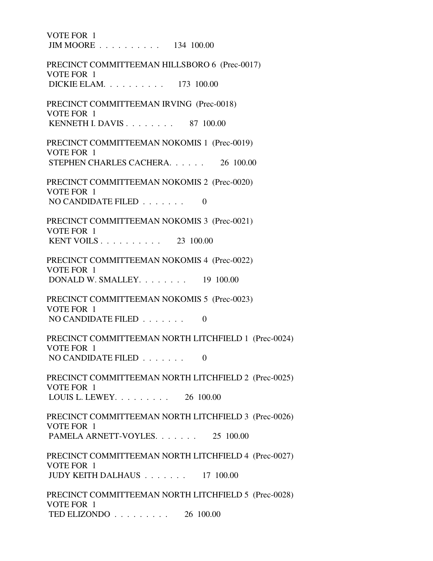VOTE FOR 1 JIM MOORE . . . . . . . . . . 134 100.00 PRECINCT COMMITTEEMAN HILLSBORO 6 (Prec-0017) VOTE FOR 1 DICKIE ELAM. . . . . . . . . . 173 100.00 PRECINCT COMMITTEEMAN IRVING (Prec-0018) VOTE FOR 1 KENNETH I. DAVIS . . . . . . . . 87 100.00 PRECINCT COMMITTEEMAN NOKOMIS 1 (Prec-0019) VOTE FOR 1 STEPHEN CHARLES CACHERA. . . . . . 26 100.00 PRECINCT COMMITTEEMAN NOKOMIS 2 (Prec-0020) VOTE FOR 1 NO CANDIDATE FILED  $\ldots \ldots$  0 PRECINCT COMMITTEEMAN NOKOMIS 3 (Prec-0021) VOTE FOR 1 KENT VOILS . . . . . . . . . . 23 100.00 PRECINCT COMMITTEEMAN NOKOMIS 4 (Prec-0022) VOTE FOR 1 DONALD W. SMALLEY. . . . . . . . 19 100.00 PRECINCT COMMITTEEMAN NOKOMIS 5 (Prec-0023) VOTE FOR 1 NO CANDIDATE FILED  $\ldots \ldots \ldots$  PRECINCT COMMITTEEMAN NORTH LITCHFIELD 1 (Prec-0024) VOTE FOR 1 NO CANDIDATE FILED  $\ldots \ldots$  0 PRECINCT COMMITTEEMAN NORTH LITCHFIELD 2 (Prec-0025) VOTE FOR 1 LOUIS L. LEWEY. . . . . . . . . 26 100.00 PRECINCT COMMITTEEMAN NORTH LITCHFIELD 3 (Prec-0026) VOTE FOR 1 PAMELA ARNETT-VOYLES. . . . . . . 25 100.00 PRECINCT COMMITTEEMAN NORTH LITCHFIELD 4 (Prec-0027) VOTE FOR 1 JUDY KEITH DALHAUS . . . . . . . 17 100.00 PRECINCT COMMITTEEMAN NORTH LITCHFIELD 5 (Prec-0028) VOTE FOR 1 TED ELIZONDO . . . . . . . . . 26 100.00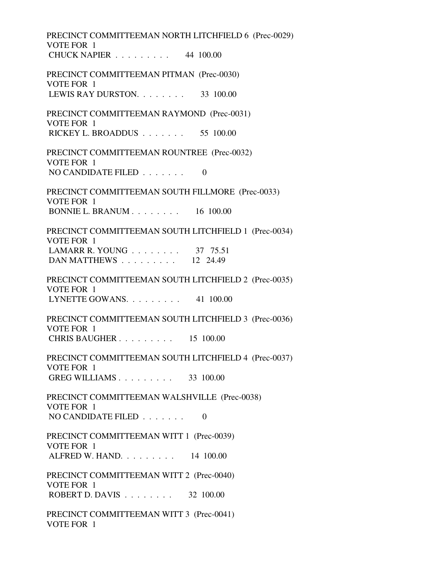PRECINCT COMMITTEEMAN NORTH LITCHFIELD 6 (Prec-0029) VOTE FOR 1 CHUCK NAPIER . . . . . . . . . 44 100.00 PRECINCT COMMITTEEMAN PITMAN (Prec-0030) VOTE FOR 1 LEWIS RAY DURSTON. . . . . . . . 33 100.00 PRECINCT COMMITTEEMAN RAYMOND (Prec-0031) VOTE FOR 1 RICKEY L. BROADDUS . . . . . . . 55 100.00 PRECINCT COMMITTEEMAN ROUNTREE (Prec-0032) VOTE FOR 1 NO CANDIDATE FILED  $\ldots \ldots$  0 PRECINCT COMMITTEEMAN SOUTH FILLMORE (Prec-0033) VOTE FOR 1 BONNIE L. BRANUM . . . . . . . . 16 100.00 PRECINCT COMMITTEEMAN SOUTH LITCHFIELD 1 (Prec-0034) VOTE FOR 1 LAMARR R. YOUNG . . . . . . . . . 37 75.51 DAN MATTHEWS . . . . . . . . . 12 24.49 PRECINCT COMMITTEEMAN SOUTH LITCHFIELD 2 (Prec-0035) VOTE FOR 1 LYNETTE GOWANS. . . . . . . . . 41 100.00 PRECINCT COMMITTEEMAN SOUTH LITCHFIELD 3 (Prec-0036) VOTE FOR 1 CHRIS BAUGHER . . . . . . . . . 15 100.00 PRECINCT COMMITTEEMAN SOUTH LITCHFIELD 4 (Prec-0037) VOTE FOR 1 GREG WILLIAMS . . . . . . . . . 33 100.00 PRECINCT COMMITTEEMAN WALSHVILLE (Prec-0038) VOTE FOR 1 NO CANDIDATE FILED  $\ldots \ldots$  0 PRECINCT COMMITTEEMAN WITT 1 (Prec-0039) VOTE FOR 1 ALFRED W. HAND. . . . . . . . . 14 100.00 PRECINCT COMMITTEEMAN WITT 2 (Prec-0040) VOTE FOR 1 ROBERT D. DAVIS . . . . . . . . 32 100.00 PRECINCT COMMITTEEMAN WITT 3 (Prec-0041) VOTE FOR 1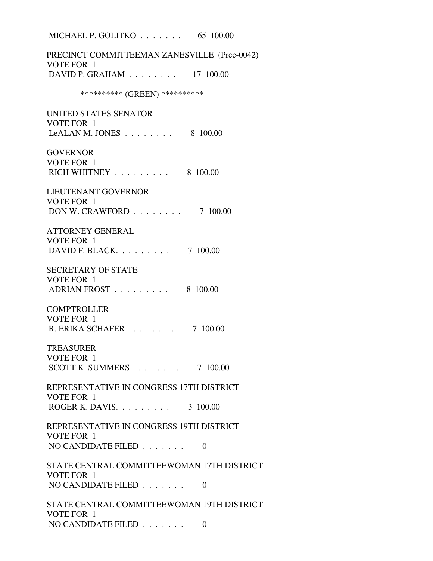MICHAEL P. GOLITKO . . . . . . . 65 100.00 PRECINCT COMMITTEEMAN ZANESVILLE (Prec-0042) VOTE FOR 1 DAVID P. GRAHAM . . . . . . . . 17 100.00 \*\*\*\*\*\*\*\*\*\*\*\* (GREEN) \*\*\*\*\*\*\*\*\*\*\* UNITED STATES SENATOR VOTE FOR 1 LeALAN M. JONES  $\ldots$  . . . . . . 8 100.00 **GOVERNOR**  VOTE FOR 1 RICH WHITNEY . . . . . . . . . 8 100.00 LIEUTENANT GOVERNOR VOTE FOR 1 DON W. CRAWFORD . . . . . . . . 7 100.00 ATTORNEY GENERAL VOTE FOR 1 DAVID F. BLACK. . . . . . . . . 7 100.00 SECRETARY OF STATE VOTE FOR 1 ADRIAN FROST . . . . . . . . . 8 100.00 **COMPTROLLER**  VOTE FOR 1 R. ERIKA SCHAFER . . . . . . . . 7 100.00 TREASURER VOTE FOR 1 SCOTT K. SUMMERS . . . . . . . . 7 100.00 REPRESENTATIVE IN CONGRESS 17TH DISTRICT VOTE FOR 1 ROGER K. DAVIS. . . . . . . . . 3 100.00 REPRESENTATIVE IN CONGRESS 19TH DISTRICT VOTE FOR 1 NO CANDIDATE FILED  $\ldots \ldots$  0 STATE CENTRAL COMMITTEEWOMAN 17TH DISTRICT VOTE FOR 1 NO CANDIDATE FILED  $\ldots$ , . . . . . 0 STATE CENTRAL COMMITTEEWOMAN 19TH DISTRICT VOTE FOR 1 NO CANDIDATE FILED . . . . . . . 0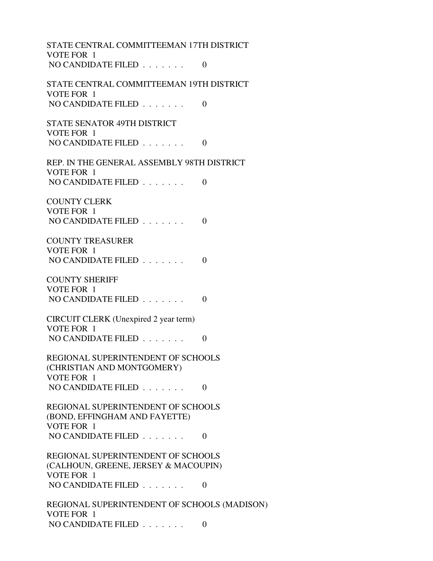STATE CENTRAL COMMITTEEMAN 17TH DISTRICT VOTE FOR 1 NO CANDIDATE FILED  $\ldots \ldots$  0 STATE CENTRAL COMMITTEEMAN 19TH DISTRICT VOTE FOR 1 NO CANDIDATE FILED . . . . . . . 0 STATE SENATOR 49TH DISTRICT VOTE FOR 1 NO CANDIDATE FILED  $\ldots \ldots$  0 REP. IN THE GENERAL ASSEMBLY 98TH DISTRICT VOTE FOR 1 NO CANDIDATE FILED . . . . . . . 0 COUNTY CLERK VOTE FOR 1 NO CANDIDATE FILED  $\ldots \ldots \ldots$  0 COUNTY TREASURER VOTE FOR 1 NO CANDIDATE FILED  $\ldots \ldots$  0 COUNTY SHERIFF VOTE FOR 1 NO CANDIDATE FILED  $\ldots \ldots$  0 CIRCUIT CLERK (Unexpired 2 year term) VOTE FOR 1 NO CANDIDATE FILED . . . . . . . 0 REGIONAL SUPERINTENDENT OF SCHOOLS (CHRISTIAN AND MONTGOMERY) VOTE FOR 1 NO CANDIDATE FILED  $\ldots$ , . . . . . 0 REGIONAL SUPERINTENDENT OF SCHOOLS (BOND, EFFINGHAM AND FAYETTE) VOTE FOR 1 NO CANDIDATE FILED  $\ldots$ , . . . . 0 REGIONAL SUPERINTENDENT OF SCHOOLS (CALHOUN, GREENE, JERSEY & MACOUPIN) VOTE FOR 1 NO CANDIDATE FILED  $\ldots \ldots$  0 REGIONAL SUPERINTENDENT OF SCHOOLS (MADISON) VOTE FOR 1 NO CANDIDATE FILED . . . . . . . 0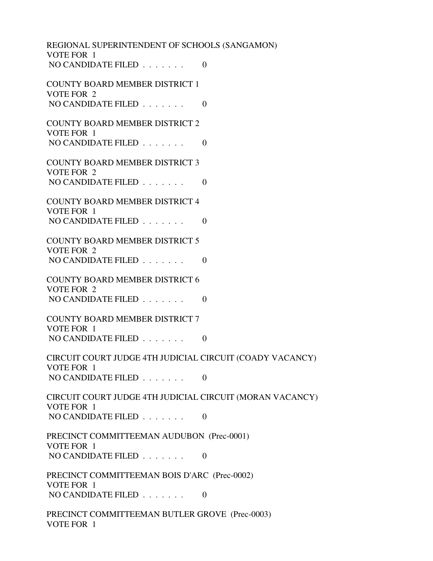REGIONAL SUPERINTENDENT OF SCHOOLS (SANGAMON) VOTE FOR 1 NO CANDIDATE FILED  $\ldots \ldots$  0 COUNTY BOARD MEMBER DISTRICT 1 VOTE FOR 2 NO CANDIDATE FILED . . . . . . . 0 COUNTY BOARD MEMBER DISTRICT 2 VOTE FOR 1 NO CANDIDATE FILED  $\ldots \ldots \ldots$  COUNTY BOARD MEMBER DISTRICT 3 VOTE FOR 2 NO CANDIDATE FILED . . . . . . . 0 COUNTY BOARD MEMBER DISTRICT 4 VOTE FOR 1 NO CANDIDATE FILED  $\ldots \ldots \ldots$  0 COUNTY BOARD MEMBER DISTRICT 5 VOTE FOR 2 NO CANDIDATE FILED  $\ldots \ldots$  0 COUNTY BOARD MEMBER DISTRICT 6 VOTE FOR 2 NO CANDIDATE FILED . . . . . . . 0 COUNTY BOARD MEMBER DISTRICT 7 VOTE FOR 1 NO CANDIDATE FILED  $\ldots$ , . . . . 0 CIRCUIT COURT JUDGE 4TH JUDICIAL CIRCUIT (COADY VACANCY) VOTE FOR 1 NO CANDIDATE FILED  $\ldots \ldots$  0 CIRCUIT COURT JUDGE 4TH JUDICIAL CIRCUIT (MORAN VACANCY) VOTE FOR 1 NO CANDIDATE FILED  $\ldots \ldots$  0 PRECINCT COMMITTEEMAN AUDUBON (Prec-0001) VOTE FOR 1 NO CANDIDATE FILED . . . . . . . 0 PRECINCT COMMITTEEMAN BOIS D'ARC (Prec-0002) VOTE FOR 1 NO CANDIDATE FILED  $\ldots \ldots$  0 PRECINCT COMMITTEEMAN BUTLER GROVE (Prec-0003) VOTE FOR 1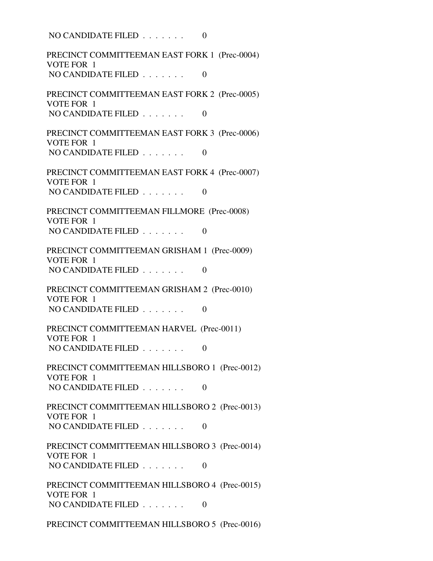NO CANDIDATE FILED  $\ldots \ldots$  0 PRECINCT COMMITTEEMAN EAST FORK 1 (Prec-0004) VOTE FOR 1 NO CANDIDATE FILED  $\ldots \ldots$  0 PRECINCT COMMITTEEMAN EAST FORK 2 (Prec-0005) VOTE FOR 1 NO CANDIDATE FILED . . . . . . . 0 PRECINCT COMMITTEEMAN EAST FORK 3 (Prec-0006) VOTE FOR 1 NO CANDIDATE FILED  $\ldots \ldots$  0 PRECINCT COMMITTEEMAN EAST FORK 4 (Prec-0007) VOTE FOR 1 NO CANDIDATE FILED  $\ldots$ , . . . . . 0 PRECINCT COMMITTEEMAN FILLMORE (Prec-0008) VOTE FOR 1 NO CANDIDATE FILED  $\ldots \ldots$  0 PRECINCT COMMITTEEMAN GRISHAM 1 (Prec-0009) VOTE FOR 1 NO CANDIDATE FILED  $\ldots \ldots$  0 PRECINCT COMMITTEEMAN GRISHAM 2 (Prec-0010) VOTE FOR 1 NO CANDIDATE FILED  $\ldots \ldots$  0 PRECINCT COMMITTEEMAN HARVEL (Prec-0011) VOTE FOR 1 NO CANDIDATE FILED  $\ldots \ldots$  0 PRECINCT COMMITTEEMAN HILLSBORO 1 (Prec-0012) VOTE FOR 1 NO CANDIDATE FILED . . . . . . . 0 PRECINCT COMMITTEEMAN HILLSBORO 2 (Prec-0013) VOTE FOR 1 NO CANDIDATE FILED  $\ldots \ldots$  0 PRECINCT COMMITTEEMAN HILLSBORO 3 (Prec-0014) VOTE FOR 1 NO CANDIDATE FILED  $\ldots \ldots$  0 PRECINCT COMMITTEEMAN HILLSBORO 4 (Prec-0015) VOTE FOR 1 NO CANDIDATE FILED  $\ldots \ldots$  0

PRECINCT COMMITTEEMAN HILLSBORO 5 (Prec-0016)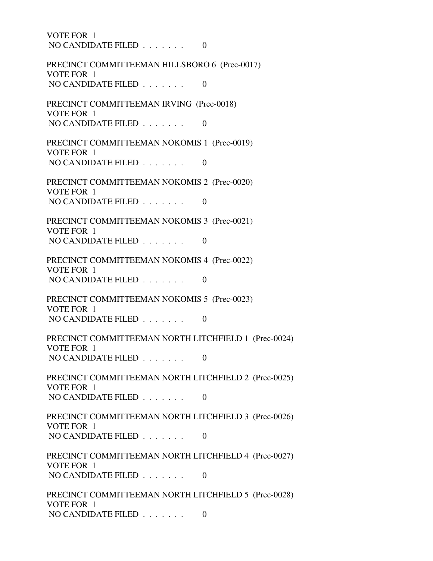VOTE FOR 1 NO CANDIDATE FILED  $\ldots$ , . . . . . 0 PRECINCT COMMITTEEMAN HILLSBORO 6 (Prec-0017) VOTE FOR 1 NO CANDIDATE FILED  $\ldots \ldots$  0 PRECINCT COMMITTEEMAN IRVING (Prec-0018) VOTE FOR 1 NO CANDIDATE FILED  $\ldots \ldots$  0 PRECINCT COMMITTEEMAN NOKOMIS 1 (Prec-0019) VOTE FOR 1 NO CANDIDATE FILED  $\ldots \ldots$  0 PRECINCT COMMITTEEMAN NOKOMIS 2 (Prec-0020) VOTE FOR 1 NO CANDIDATE FILED  $\ldots \ldots$  0 PRECINCT COMMITTEEMAN NOKOMIS 3 (Prec-0021) VOTE FOR 1 NO CANDIDATE FILED  $\ldots$ , . . . . 0 PRECINCT COMMITTEEMAN NOKOMIS 4 (Prec-0022) VOTE FOR 1 NO CANDIDATE FILED . . . . . . . 0 PRECINCT COMMITTEEMAN NOKOMIS 5 (Prec-0023) VOTE FOR 1 NO CANDIDATE FILED  $\ldots \ldots \ldots$  PRECINCT COMMITTEEMAN NORTH LITCHFIELD 1 (Prec-0024) VOTE FOR 1 NO CANDIDATE FILED  $\ldots \ldots$  0 PRECINCT COMMITTEEMAN NORTH LITCHFIELD 2 (Prec-0025) VOTE FOR 1 NO CANDIDATE FILED . . . . . . . 0 PRECINCT COMMITTEEMAN NORTH LITCHFIELD 3 (Prec-0026) VOTE FOR 1 NO CANDIDATE FILED  $\ldots$ , . . . . 0 PRECINCT COMMITTEEMAN NORTH LITCHFIELD 4 (Prec-0027) VOTE FOR 1 NO CANDIDATE FILED  $\ldots \ldots$  0 PRECINCT COMMITTEEMAN NORTH LITCHFIELD 5 (Prec-0028) VOTE FOR 1 NO CANDIDATE FILED . . . . . . . 0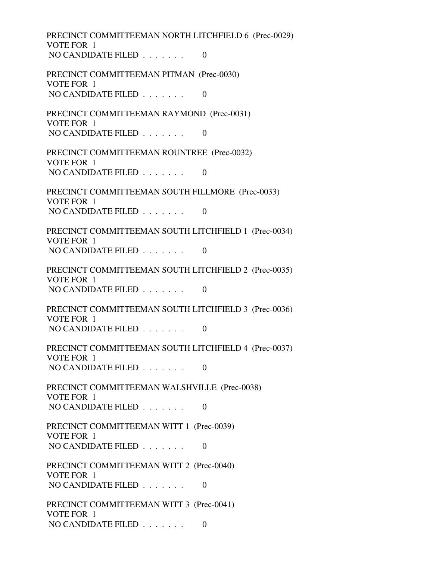PRECINCT COMMITTEEMAN NORTH LITCHFIELD 6 (Prec-0029) VOTE FOR 1 NO CANDIDATE FILED . . . . . . . 0 PRECINCT COMMITTEEMAN PITMAN (Prec-0030) VOTE FOR 1 NO CANDIDATE FILED  $\ldots$  . . . . . 0 PRECINCT COMMITTEEMAN RAYMOND (Prec-0031) VOTE FOR 1 NO CANDIDATE FILED  $\ldots \ldots$  0 PRECINCT COMMITTEEMAN ROUNTREE (Prec-0032) VOTE FOR 1 NO CANDIDATE FILED  $\ldots \ldots$  0 PRECINCT COMMITTEEMAN SOUTH FILLMORE (Prec-0033) VOTE FOR 1 NO CANDIDATE FILED  $\ldots \ldots$  0 PRECINCT COMMITTEEMAN SOUTH LITCHFIELD 1 (Prec-0034) VOTE FOR 1 NO CANDIDATE FILED  $\ldots \ldots$  0 PRECINCT COMMITTEEMAN SOUTH LITCHFIELD 2 (Prec-0035) VOTE FOR 1 NO CANDIDATE FILED  $\ldots$  . . . . . 0 PRECINCT COMMITTEEMAN SOUTH LITCHFIELD 3 (Prec-0036) VOTE FOR 1 NO CANDIDATE FILED . . . . . . . 0 PRECINCT COMMITTEEMAN SOUTH LITCHFIELD 4 (Prec-0037) VOTE FOR 1 NO CANDIDATE FILED  $\ldots \ldots$  0 PRECINCT COMMITTEEMAN WALSHVILLE (Prec-0038) VOTE FOR 1 NO CANDIDATE FILED  $\ldots \ldots$  0 PRECINCT COMMITTEEMAN WITT 1 (Prec-0039) VOTE FOR 1 NO CANDIDATE FILED  $\ldots \ldots$  0 PRECINCT COMMITTEEMAN WITT 2 (Prec-0040) VOTE FOR 1 NO CANDIDATE FILED  $\ldots$  . . . . . 0 PRECINCT COMMITTEEMAN WITT 3 (Prec-0041) VOTE FOR 1 NO CANDIDATE FILED  $\ldots \ldots$  0